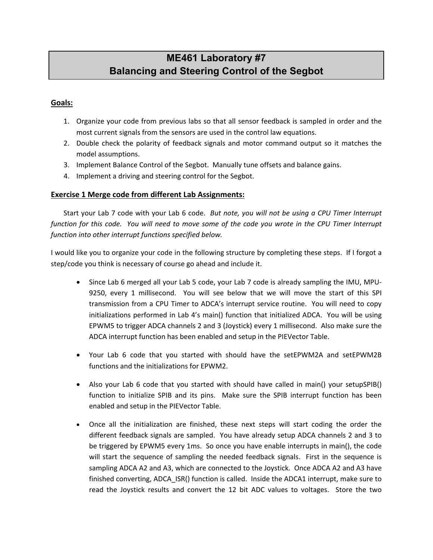# **ME461 Laboratory #7 Balancing and Steering Control of the Segbot**

#### **Goals:**

- 1. Organize your code from previous labs so that all sensor feedback is sampled in order and the most current signals from the sensors are used in the control law equations.
- 2. Double check the polarity of feedback signals and motor command output so it matches the model assumptions.
- 3. Implement Balance Control of the Segbot. Manually tune offsets and balance gains.
- 4. Implement a driving and steering control for the Segbot.

#### **Exercise 1 Merge code from different Lab Assignments:**

Start your Lab 7 code with your Lab 6 code. *But note, you will not be using a CPU Timer Interrupt function for this code. You will need to move some of the code you wrote in the CPU Timer Interrupt function into other interrupt functions specified below.*

I would like you to organize your code in the following structure by completing these steps. If I forgot a step/code you think is necessary of course go ahead and include it.

- Since Lab 6 merged all your Lab 5 code, your Lab 7 code is already sampling the IMU, MPU-9250, every 1 millisecond. You will see below that we will move the start of this SPI transmission from a CPU Timer to ADCA's interrupt service routine. You will need to copy initializations performed in Lab 4's main() function that initialized ADCA. You will be using EPWM5 to trigger ADCA channels 2 and 3 (Joystick) every 1 millisecond. Also make sure the ADCA interrupt function has been enabled and setup in the PIEVector Table.
- Your Lab 6 code that you started with should have the setEPWM2A and setEPWM2B functions and the initializations for EPWM2.
- Also your Lab 6 code that you started with should have called in main() your setupSPIB() function to initialize SPIB and its pins. Make sure the SPIB interrupt function has been enabled and setup in the PIEVector Table.
- Once all the initialization are finished, these next steps will start coding the order the different feedback signals are sampled. You have already setup ADCA channels 2 and 3 to be triggered by EPWM5 every 1ms. So once you have enable interrupts in main(), the code will start the sequence of sampling the needed feedback signals. First in the sequence is sampling ADCA A2 and A3, which are connected to the Joystick. Once ADCA A2 and A3 have finished converting, ADCA ISR() function is called. Inside the ADCA1 interrupt, make sure to read the Joystick results and convert the 12 bit ADC values to voltages. Store the two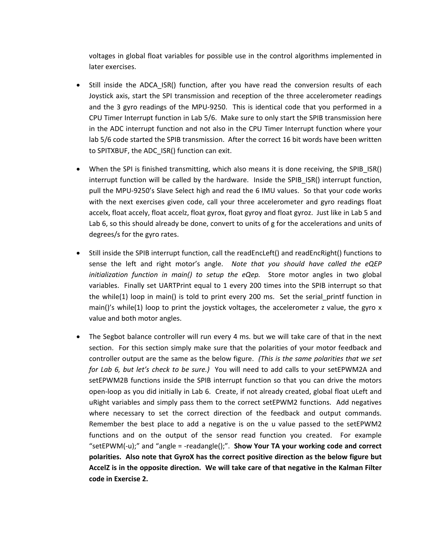voltages in global float variables for possible use in the control algorithms implemented in later exercises.

- Still inside the ADCA\_ISR() function, after you have read the conversion results of each Joystick axis, start the SPI transmission and reception of the three accelerometer readings and the 3 gyro readings of the MPU-9250. This is identical code that you performed in a CPU Timer Interrupt function in Lab 5/6. Make sure to only start the SPIB transmission here in the ADC interrupt function and not also in the CPU Timer Interrupt function where your lab 5/6 code started the SPIB transmission. After the correct 16 bit words have been written to SPITXBUF, the ADC\_ISR() function can exit.
- When the SPI is finished transmitting, which also means it is done receiving, the SPIB ISR() interrupt function will be called by the hardware. Inside the SPIB ISR() interrupt function, pull the MPU-9250's Slave Select high and read the 6 IMU values. So that your code works with the next exercises given code, call your three accelerometer and gyro readings float accelx, float accely, float accelz, float gyrox, float gyroy and float gyroz. Just like in Lab 5 and Lab 6, so this should already be done, convert to units of g for the accelerations and units of degrees/s for the gyro rates.
- Still inside the SPIB interrupt function, call the readEncLeft() and readEncRight() functions to sense the left and right motor's angle. *Note that you should have called the eQEP initialization function in main() to setup the eQep.* Store motor angles in two global variables. Finally set UARTPrint equal to 1 every 200 times into the SPIB interrupt so that the while(1) loop in main() is told to print every 200 ms. Set the serial printf function in main()'s while(1) loop to print the joystick voltages, the accelerometer z value, the gyro  $x$ value and both motor angles.
- The Segbot balance controller will run every 4 ms. but we will take care of that in the next section. For this section simply make sure that the polarities of your motor feedback and controller output are the same as the below figure. *(This is the same polarities that we set for Lab 6, but let's check to be sure.)* You will need to add calls to your setEPWM2A and setEPWM2B functions inside the SPIB interrupt function so that you can drive the motors open-loop as you did initially in Lab 6. Create, if not already created, global float uLeft and uRight variables and simply pass them to the correct setEPWM2 functions. Add negatives where necessary to set the correct direction of the feedback and output commands. Remember the best place to add a negative is on the u value passed to the setEPWM2 functions and on the output of the sensor read function you created. For example "setEPWM(-u);" and "angle = -readangle();". **Show Your TA your working code and correct polarities. Also note that GyroX has the correct positive direction as the below figure but AccelZ is in the opposite direction. We will take care of that negative in the Kalman Filter code in Exercise 2.**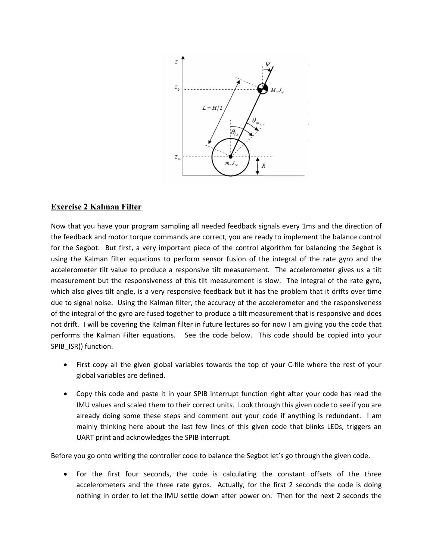

# **Exercise 2 Kalman Filter**

Now that you have your program sampling all needed feedback signals every 1ms and the direction of the feedback and motor torque commands are correct, you are ready to implement the balance control for the Segbot. But first, a very important piece of the control algorithm for balancing the Segbot is using the Kalman filter equations to perform sensor fusion of the integral of the rate gyro and the accelerometer tilt value to produce a responsive tilt measurement. The accelerometer gives us a tilt measurement but the responsiveness of this tilt measurement is slow. The integral of the rate gyro, which also gives tilt angle, is a very responsive feedback but it has the problem that it drifts over time due to signal noise. Using the Kalman filter, the accuracy of the accelerometer and the responsiveness of the integral of the gyro are fused together to produce a tilt measurement that is responsive and does not drift. I will be covering the Kalman filter in future lectures so for now I am giving you the code that performs the Kalman Filter equations. See the code below. This code should be copied into your SPIB\_ISR() function.

- First copy all the given global variables towards the top of your C-file where the rest of your global variables are defined.
- Copy this code and paste it in your SPIB interrupt function right after your code has read the IMU values and scaled them to their correct units. Look through this given code to see if you are already doing some these steps and comment out your code if anything is redundant. I am mainly thinking here about the last few lines of this given code that blinks LEDs, triggers an UART print and acknowledges the SPIB interrupt.

Before you go onto writing the controller code to balance the Segbot let's go through the given code.

• For the first four seconds, the code is calculating the constant offsets of the three accelerometers and the three rate gyros. Actually, for the first 2 seconds the code is doing nothing in order to let the IMU settle down after power on. Then for the next 2 seconds the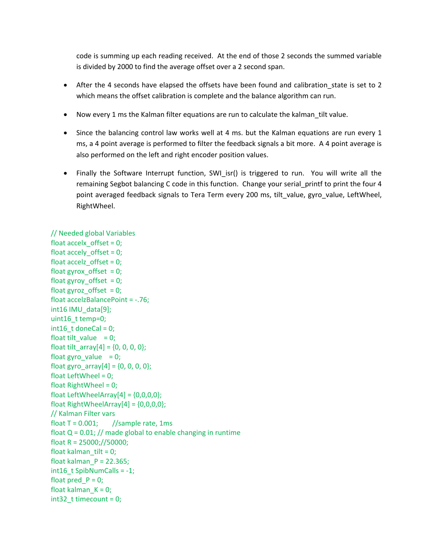code is summing up each reading received. At the end of those 2 seconds the summed variable is divided by 2000 to find the average offset over a 2 second span.

- After the 4 seconds have elapsed the offsets have been found and calibration\_state is set to 2 which means the offset calibration is complete and the balance algorithm can run.
- Now every 1 ms the Kalman filter equations are run to calculate the kalman\_tilt value.
- Since the balancing control law works well at 4 ms. but the Kalman equations are run every 1 ms, a 4 point average is performed to filter the feedback signals a bit more. A 4 point average is also performed on the left and right encoder position values.
- Finally the Software Interrupt function, SWI\_isr() is triggered to run. You will write all the remaining Segbot balancing C code in this function. Change your serial printf to print the four 4 point averaged feedback signals to Tera Term every 200 ms, tilt\_value, gyro\_value, LeftWheel, RightWheel.

#### // Needed global Variables

float accelx  $offset = 0$ ; float accely\_offset = 0; float accelz  $offset = 0$ ; float gyrox offset  $= 0$ ; float gyroy offset  $= 0$ ; float gyroz\_offset =  $0$ ; float accelzBalancePoint = -.76; int16 IMU\_data[9]; uint16\_t temp=0;  $int16$  t doneCal = 0; float tilt\_value =  $0$ ; float tilt\_array $[4] = \{0, 0, 0, 0\}$ ; float gyro\_value  $= 0$ ; float gyro\_array $[4] = \{0, 0, 0, 0\}$ ; float LeftWheel =  $0$ ; float RightWheel = 0; float LeftWheelArray $[4] = \{0,0,0,0\}$ ; float RightWheelArray $[4] = \{0,0,0,0\};$ // Kalman Filter vars float  $T = 0.001$ ; //sample rate, 1ms float  $Q = 0.01$ ; // made global to enable changing in runtime float R =  $25000$ ;//50000; float kalman  $tilt = 0$ ; float kalman $P = 22.365$ ;  $int16$  t SpibNumCalls = -1; float pred  $P = 0$ ; float kalman $K = 0$ ; int32\_t timecount = 0;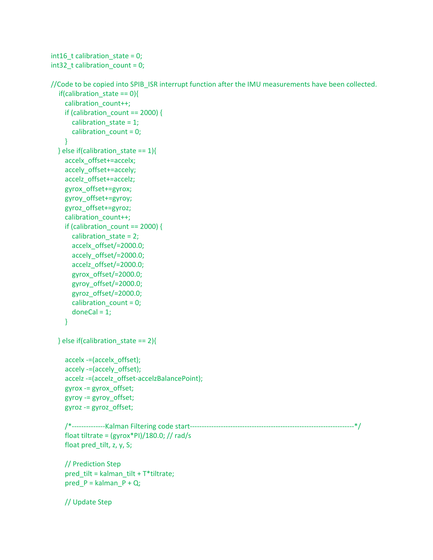```
int16_t t calibration_state = 0;
int32_t calibration_count = 0;
//Code to be copied into SPIB_ISR interrupt function after the IMU measurements have been collected.
  if(calibration state == 0){
     calibration_count++;
    if (calibration count == 2000) {
       calibration state = 1;
        calibration_count = 0;
     }
  } else if(calibration_state == 1){
     accelx_offset+=accelx;
     accely_offset+=accely;
     accelz_offset+=accelz;
     gyrox_offset+=gyrox;
     gyroy_offset+=gyroy;
     gyroz_offset+=gyroz;
    calibration_count++;
    if (calibration count == 2000) {
        calibration_state = 2;
       accelx_offset/=2000.0;
       accely_offset/=2000.0;
       accelz_offset/=2000.0;
       gyrox_offset/=2000.0;
       gyroy_offset/=2000.0;
       gyroz_offset/=2000.0;
       calibration_count = 0;
      doneCal = 1;
     }
   } else if(calibration_state == 2){
     accelx -=(accelx_offset);
     accely -=(accely_offset);
     accelz -=(accelz_offset-accelzBalancePoint);
     gyrox -= gyrox_offset;
     gyroy -= gyroy_offset;
     gyroz -= gyroz_offset;
     /*--------------Kalman Filtering code start---------------------------------------------------------------------*/
     float tiltrate = (gyrox*PI)/180.0; // rad/s
     float pred_tilt, z, y, S;
     // Prediction Step
     pred_tilt = kalman_tilt + T*tiltrate;
    pred P = kalman P + Q;
     // Update Step
```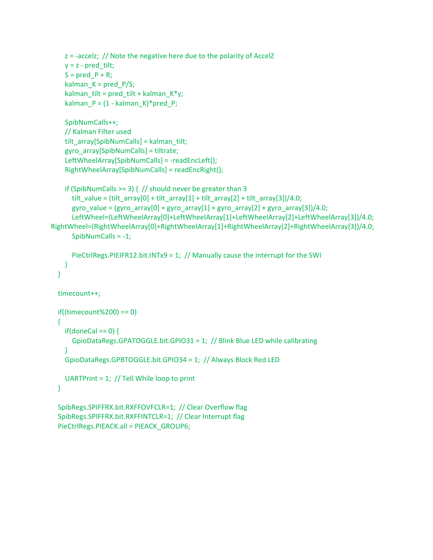```
z = -accelz; // Note the negative here due to the polarity of AccelZ
    y = z - pred\_tilt;S = pred_P + R;kalman_K = pred_P/S;kalman_tilt = pred_tilt + kalman_K*y;
    kalman_P = (1 - kalman_K)*pred_P; SpibNumCalls++;
     // Kalman Filter used
    tilt_array[SpibNumCalls] = kalman_tilt;
     gyro_array[SpibNumCalls] = tiltrate;
     LeftWheelArray[SpibNumCalls] = -readEncLeft();
     RightWheelArray[SpibNumCalls] = readEncRight();
    if (SpibNumCalls >= 3) { // should never be greater than 3
      \text{tilt}_\text{value} = (\text{tilt}_\text{array}[0] + \text{tilt}_\text{array}[1] + \text{tilt}_\text{array}[2] + \text{tilt}_\text{array}[3])/4.0;gyro_value = (gyro_array[0] + gyro_array[1] + gyro_array[2] + gyro_array[3])/4.0;
       LeftWheel=(LeftWheelArray[0]+LeftWheelArray[1]+LeftWheelArray[2]+LeftWheelArray[3])/4.0;
RightWheel=(RightWheelArray[0]+RightWheelArray[1]+RightWheelArray[2]+RightWheelArray[3])/4.0;
       SpibNumCalls = -1;
       PieCtrlRegs.PIEIFR12.bit.INTx9 = 1; // Manually cause the interrupt for the SWI
     }
   }
   timecount++;
   if((timecount%200) == 0)
   {
    if(doneCal == 0) {
       GpioDataRegs.GPATOGGLE.bit.GPIO31 = 1; // Blink Blue LED while calibrating
     }
     GpioDataRegs.GPBTOGGLE.bit.GPIO34 = 1; // Always Block Red LED
     UARTPrint = 1; // Tell While loop to print
   }
   SpibRegs.SPIFFRX.bit.RXFFOVFCLR=1; // Clear Overflow flag
   SpibRegs.SPIFFRX.bit.RXFFINTCLR=1; // Clear Interrupt flag
   PieCtrlRegs.PIEACK.all = PIEACK_GROUP6;
```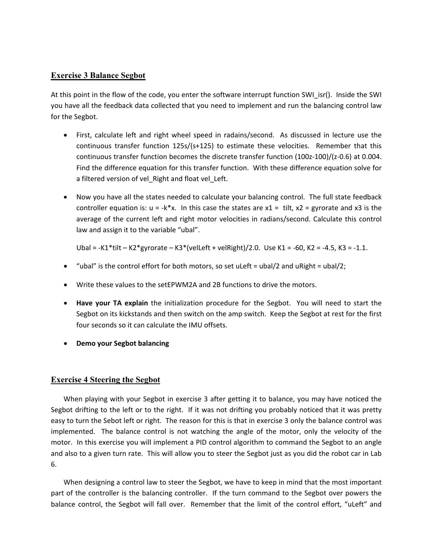### **Exercise 3 Balance Segbot**

At this point in the flow of the code, you enter the software interrupt function SWI isr(). Inside the SWI you have all the feedback data collected that you need to implement and run the balancing control law for the Segbot.

- First, calculate left and right wheel speed in radains/second. As discussed in lecture use the continuous transfer function 125s/(s+125) to estimate these velocities. Remember that this continuous transfer function becomes the discrete transfer function (100z-100)/(z-0.6) at 0.004. Find the difference equation for this transfer function. With these difference equation solve for a filtered version of vel\_Right and float vel\_Left.
- Now you have all the states needed to calculate your balancing control. The full state feedback controller equation is:  $u = -k*x$ . In this case the states are  $x1 = \text{tilt}, x2 = \text{gyrorate}$  and x3 is the average of the current left and right motor velocities in radians/second. Calculate this control law and assign it to the variable "ubal".

Ubal = -K1\*tilt – K2\*gyrorate – K3\*(velLeft + velRight)/2.0. Use K1 = -60, K2 = -4.5, K3 = -1.1.

- "ubal" is the control effort for both motors, so set uLeft = ubal/2 and uRight = ubal/2;
- Write these values to the setEPWM2A and 2B functions to drive the motors.
- **Have your TA explain** the initialization procedure for the Segbot. You will need to start the Segbot on its kickstands and then switch on the amp switch. Keep the Segbot at rest for the first four seconds so it can calculate the IMU offsets.
- **Demo your Segbot balancing**

#### **Exercise 4 Steering the Segbot**

When playing with your Segbot in exercise 3 after getting it to balance, you may have noticed the Segbot drifting to the left or to the right. If it was not drifting you probably noticed that it was pretty easy to turn the Sebot left or right. The reason for this is that in exercise 3 only the balance control was implemented. The balance control is not watching the angle of the motor, only the velocity of the motor. In this exercise you will implement a PID control algorithm to command the Segbot to an angle and also to a given turn rate. This will allow you to steer the Segbot just as you did the robot car in Lab 6.

When designing a control law to steer the Segbot, we have to keep in mind that the most important part of the controller is the balancing controller. If the turn command to the Segbot over powers the balance control, the Segbot will fall over. Remember that the limit of the control effort, "uLeft" and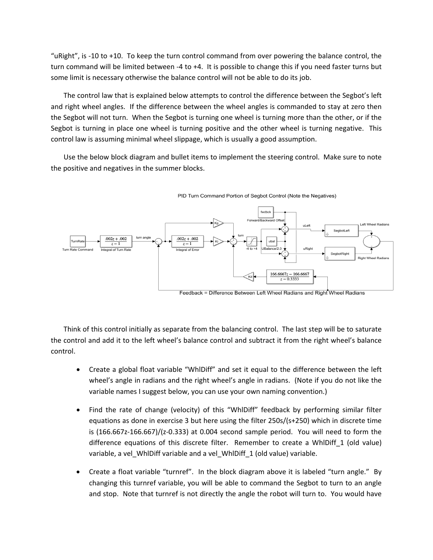"uRight", is -10 to +10. To keep the turn control command from over powering the balance control, the turn command will be limited between -4 to +4. It is possible to change this if you need faster turns but some limit is necessary otherwise the balance control will not be able to do its job.

The control law that is explained below attempts to control the difference between the Segbot's left and right wheel angles. If the difference between the wheel angles is commanded to stay at zero then the Segbot will not turn. When the Segbot is turning one wheel is turning more than the other, or if the Segbot is turning in place one wheel is turning positive and the other wheel is turning negative. This control law is assuming minimal wheel slippage, which is usually a good assumption.

Use the below block diagram and bullet items to implement the steering control. Make sure to note the positive and negatives in the summer blocks.





Think of this control initially as separate from the balancing control. The last step will be to saturate the control and add it to the left wheel's balance control and subtract it from the right wheel's balance control.

- Create a global float variable "WhlDiff" and set it equal to the difference between the left wheel's angle in radians and the right wheel's angle in radians. (Note if you do not like the variable names I suggest below, you can use your own naming convention.)
- Find the rate of change (velocity) of this "WhlDiff" feedback by performing similar filter equations as done in exercise 3 but here using the filter 250s/(s+250) which in discrete time is (166.667z-166.667)/(z-0.333) at 0.004 second sample period. You will need to form the difference equations of this discrete filter. Remember to create a WhlDiff\_1 (old value) variable, a vel\_WhlDiff variable and a vel\_WhlDiff\_1 (old value) variable.
- Create a float variable "turnref". In the block diagram above it is labeled "turn angle." By changing this turnref variable, you will be able to command the Segbot to turn to an angle and stop. Note that turnref is not directly the angle the robot will turn to. You would have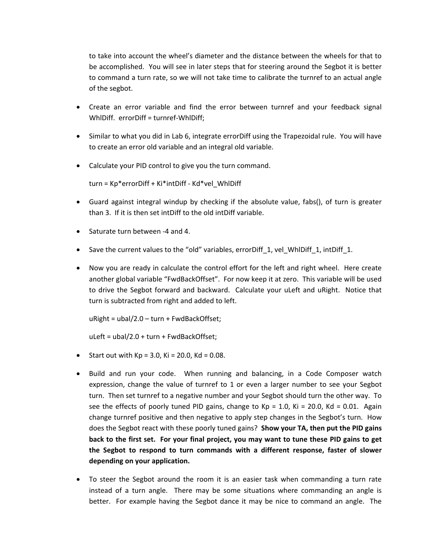to take into account the wheel's diameter and the distance between the wheels for that to be accomplished. You will see in later steps that for steering around the Segbot it is better to command a turn rate, so we will not take time to calibrate the turnref to an actual angle of the segbot.

- Create an error variable and find the error between turnref and your feedback signal WhlDiff. errorDiff = turnref-WhlDiff;
- Similar to what you did in Lab 6, integrate errorDiff using the Trapezoidal rule. You will have to create an error old variable and an integral old variable.
- Calculate your PID control to give you the turn command.

turn = Kp\*errorDiff + Ki\*intDiff - Kd\*vel\_WhlDiff

- Guard against integral windup by checking if the absolute value, fabs(), of turn is greater than 3. If it is then set intDiff to the old intDiff variable.
- Saturate turn between -4 and 4.
- Save the current values to the "old" variables, errorDiff\_1, vel\_WhlDiff\_1, intDiff\_1.
- Now you are ready in calculate the control effort for the left and right wheel. Here create another global variable "FwdBackOffset". For now keep it at zero. This variable will be used to drive the Segbot forward and backward. Calculate your uLeft and uRight. Notice that turn is subtracted from right and added to left.

uRight = ubal/2.0 – turn + FwdBackOffset;

uLeft = ubal/2.0 + turn + FwdBackOffset;

- Start out with  $Kp = 3.0$ ,  $Ki = 20.0$ ,  $Kd = 0.08$ .
- Build and run your code. When running and balancing, in a Code Composer watch expression, change the value of turnref to 1 or even a larger number to see your Segbot turn. Then set turnref to a negative number and your Segbot should turn the other way. To see the effects of poorly tuned PID gains, change to Kp = 1.0, Ki = 20.0, Kd = 0.01. Again change turnref positive and then negative to apply step changes in the Segbot's turn. How does the Segbot react with these poorly tuned gains? **Show your TA, then put the PID gains back to the first set. For your final project, you may want to tune these PID gains to get the Segbot to respond to turn commands with a different response, faster of slower depending on your application.**
- To steer the Segbot around the room it is an easier task when commanding a turn rate instead of a turn angle. There may be some situations where commanding an angle is better. For example having the Segbot dance it may be nice to command an angle. The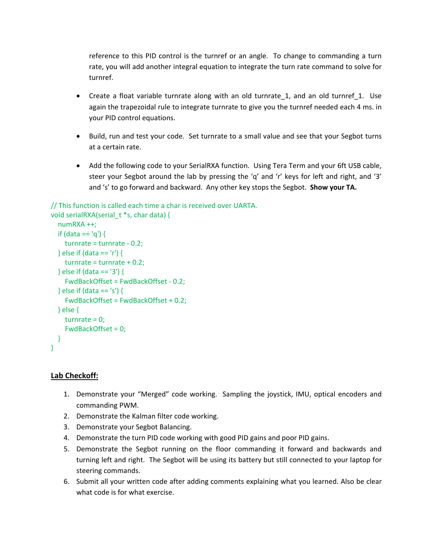reference to this PID control is the turnref or an angle. To change to commanding a turn rate, you will add another integral equation to integrate the turn rate command to solve for turnref.

- Create a float variable turnrate along with an old turnrate 1, and an old turnref 1. Use again the trapezoidal rule to integrate turnrate to give you the turnref needed each 4 ms. in your PID control equations.
- Build, run and test your code. Set turnrate to a small value and see that your Segbot turns at a certain rate.
- Add the following code to your SerialRXA function. Using Tera Term and your 6ft USB cable, steer your Segbot around the lab by pressing the 'q' and 'r' keys for left and right, and '3' and 's' to go forward and backward. Any other key stops the Segbot. **Show your TA.**

## // This function is called each time a char is received over UARTA.

```
void serialRXA(serial t *s, char data) {
   numRXA ++;
  if (data == 'q') {
     turnrate = turnrate - 0.2;
   } else if (data == 'r') {
     turnrate = turnrate + 0.2;
   } else if (data == '3') {
     FwdBackOffset = FwdBackOffset - 0.2;
   } else if (data == 's') {
     FwdBackOffset = FwdBackOffset + 0.2;
   } else {
     turnrate = 0;
     FwdBackOffset = 0;
   }
}
```
## **Lab Checkoff:**

- 1. Demonstrate your "Merged" code working. Sampling the joystick, IMU, optical encoders and commanding PWM.
- 2. Demonstrate the Kalman filter code working.
- 3. Demonstrate your Segbot Balancing.
- 4. Demonstrate the turn PID code working with good PID gains and poor PID gains.
- 5. Demonstrate the Segbot running on the floor commanding it forward and backwards and turning left and right. The Segbot will be using its battery but still connected to your laptop for steering commands.
- 6. Submit all your written code after adding comments explaining what you learned. Also be clear what code is for what exercise.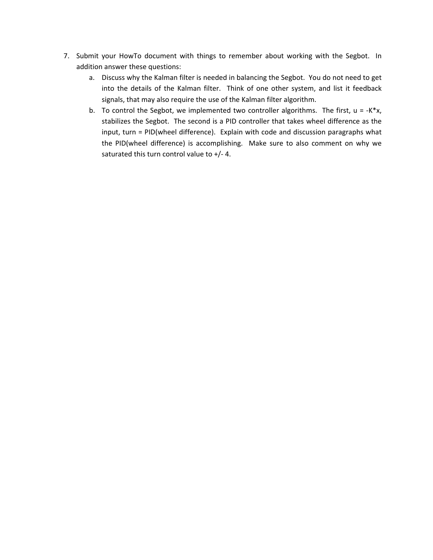- 7. Submit your HowTo document with things to remember about working with the Segbot. In addition answer these questions:
	- a. Discuss why the Kalman filter is needed in balancing the Segbot. You do not need to get into the details of the Kalman filter. Think of one other system, and list it feedback signals, that may also require the use of the Kalman filter algorithm.
	- b. To control the Segbot, we implemented two controller algorithms. The first,  $u = -K^*x$ , stabilizes the Segbot. The second is a PID controller that takes wheel difference as the input, turn = PID(wheel difference). Explain with code and discussion paragraphs what the PID(wheel difference) is accomplishing. Make sure to also comment on why we saturated this turn control value to +/- 4.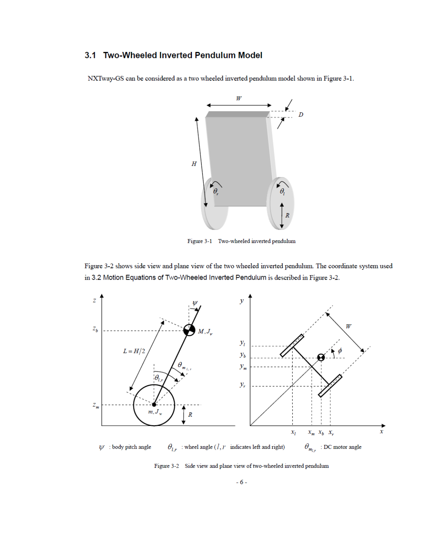# 3.1 Two-Wheeled Inverted Pendulum Model

NXTway-GS can be considered as a two wheeled inverted pendulum model shown in Figure 3-1.



Figure 3-1 Two-wheeled inverted pendulum

Figure 3-2 shows side view and plane view of the two wheeled inverted pendulum. The coordinate system used in 3.2 Motion Equations of Two-Wheeled Inverted Pendulum is described in Figure 3-2.



Figure 3-2 Side view and plane view of two-wheeled inverted pendulum